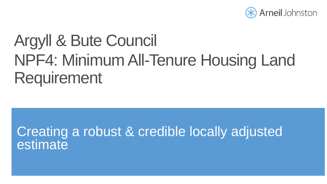

# Argyll & Bute Council NPF4: Minimum All-Tenure Housing Land Requirement

## Creating a robust & credible locally adjusted estimate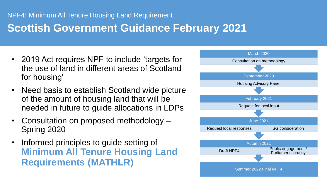## **Scottish Government Guidance February 2021**

- 2019 Act requires NPF to include 'targets for the use of land in different areas of Scotland for housing'
- Need basis to establish Scotland wide picture of the amount of housing land that will be needed in future to guide allocations in LDPs
- Consultation on proposed methodology Spring 2020
- Informed principles to guide setting of **Minimum All Tenure Housing Land Requirements (MATHLR)**

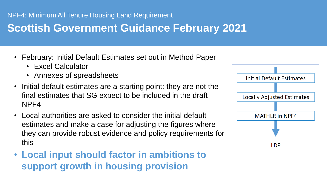## **Scottish Government Guidance February 2021**

- February: Initial Default Estimates set out in Method Paper
	- Excel Calculator
	- Annexes of spreadsheets
- Initial default estimates are a starting point: they are not the final estimates that SG expect to be included in the draft NPF4
- Local authorities are asked to consider the initial default estimates and make a case for adjusting the figures where they can provide robust evidence and policy requirements for this
- Local input should factor in ambitions to **with an extract of the number of the number of the number of the number of the number of the number of the number of the number of the number of the number of the number of the** in Argyll and Bute is projected to fall by over 1% from 41,635 to 41,170. Over the decade (2021-2031) the figure will fall by over 3% to **support growth in housing provision**

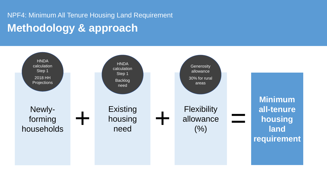## NPF4: Minimum All Tenure Housing Land Requirement **Methodology & approach**

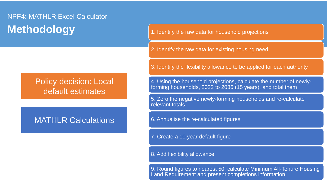### NPF4: MATHLR Excel Calculator **Methodology** 1. Identify the raw data for household projections

2. Identify the raw data for existing housing need

Policy decision: Local default estimates

### MATHLR Calculations

3. Identify the flexibility allowance to be applied for each authority

4. Using the household projections, calculate the number of newlyforming households, 2022 to 2036 (15 years), and total them

5. Zero the negative newly-forming households and re-calculate relevant totals

6. Annualise the re-calculated figures

7. Create a 10 year default figure

### 8. Add flexibility allowance

9. Round figures to nearest 50, calculate Minimum All-Tenure Housing Land Requirement and present completions information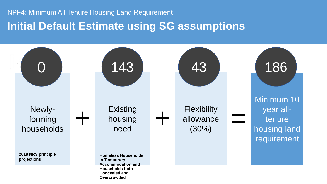### **Initial Default Estimate using SG assumptions**

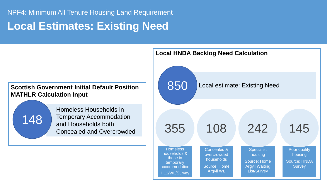### **Local Estimates: Existing Need**

### **Scottish Government Initial Default Position MATHLR Calculation Input** Homeless Households in Temporary Accommodation and Households both Concealed and Overcrowded 148 850 Local estimate: Existing Need **Homeless** households & those in temporary accommodation 355 Concealed & overcrowded households Source: Home 108 **Specialist** housing Source: Home Argyll Waiting 242

HL1/WL/Survey

**Local HNDA Backlog Need Calculation**

Argyll WL

List/Survey

Poor quality housing

Source: HNDA **Survey** 

145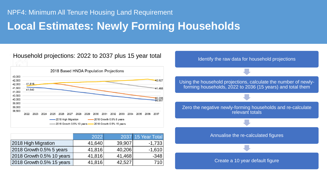## **Local Estimates: Newly Forming Households**

### Household projections: 2022 to 2037 plus 15 year total



|                           | 2022   |        | <b>2037 15 Year Total</b> |
|---------------------------|--------|--------|---------------------------|
| 2018 High Migration       | 41,640 | 39,907 | $-1,733$                  |
| 2018 Growth 0.5% 5 years  | 41,816 | 40,206 | $-1,610$                  |
| 2018 Growth 0.5% 10 years | 41,816 | 41,468 | $-348$                    |
| 2018 Growth 0.5% 15 years | 41,816 | 42,527 | 710                       |

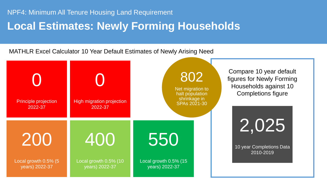## **Local Estimates: Newly Forming Households**

MATHLR Excel Calculator 10 Year Default Estimates of Newly Arising Need

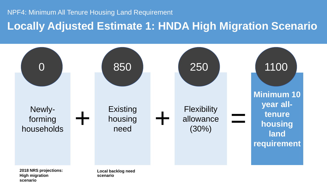**Locally Adjusted Estimate 1: HNDA High Migration Scenario**



**2018 NRS projections: High migration scenario**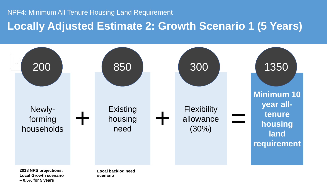**Locally Adjusted Estimate 2: Growth Scenario 1 (5 Years)**



**Local Growth scenario – 0.5% for 5 years**

**scenario**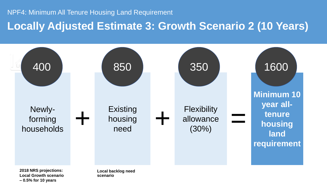**Locally Adjusted Estimate 3: Growth Scenario 2 (10 Years)**



**Local Growth scenario – 0.5% for 10 years**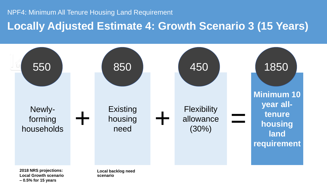**Locally Adjusted Estimate 4: Growth Scenario 3 (15 Years)**



**Local Growth scenario – 0.5% for 15 years**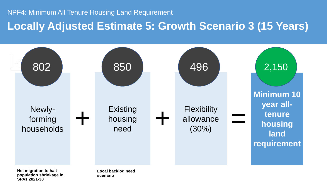**Locally Adjusted Estimate 5: Growth Scenario 3 (15 Years)**



**Net migration to halt population shrinkage in SPAs 2021-30**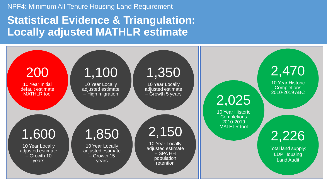## **Statistical Evidence & Triangulation: Locally adjusted MATHLR estimate**

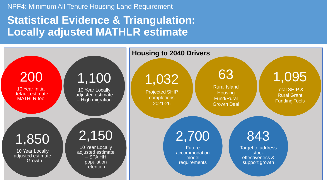## **Statistical Evidence & Triangulation: Locally adjusted MATHLR estimate**

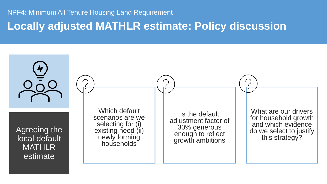### **Locally adjusted MATHLR estimate: Policy discussion**

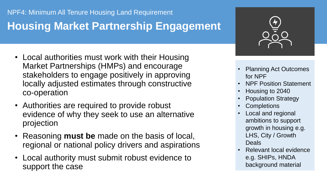## **Housing Market Partnership Engagement**

- Local authorities must work with their Housing Market Partnerships (HMPs) and encourage stakeholders to engage positively in approving locally adjusted estimates through constructive co-operation
- Authorities are required to provide robust evidence of why they seek to use an alternative projection
- Reasoning **must be** made on the basis of local, regional or national policy drivers and aspirations
- Local authority must submit robust evidence to support the case



- Planning Act Outcomes for NPF
- NPF Position Statement
- Housing to 2040
- Population Strategy
- **Completions**
- Local and regional ambitions to support growth in housing e.g. LHS, City / Growth **Deals**
- **Relevant local evidence** e.g. SHIPs, HNDA background material